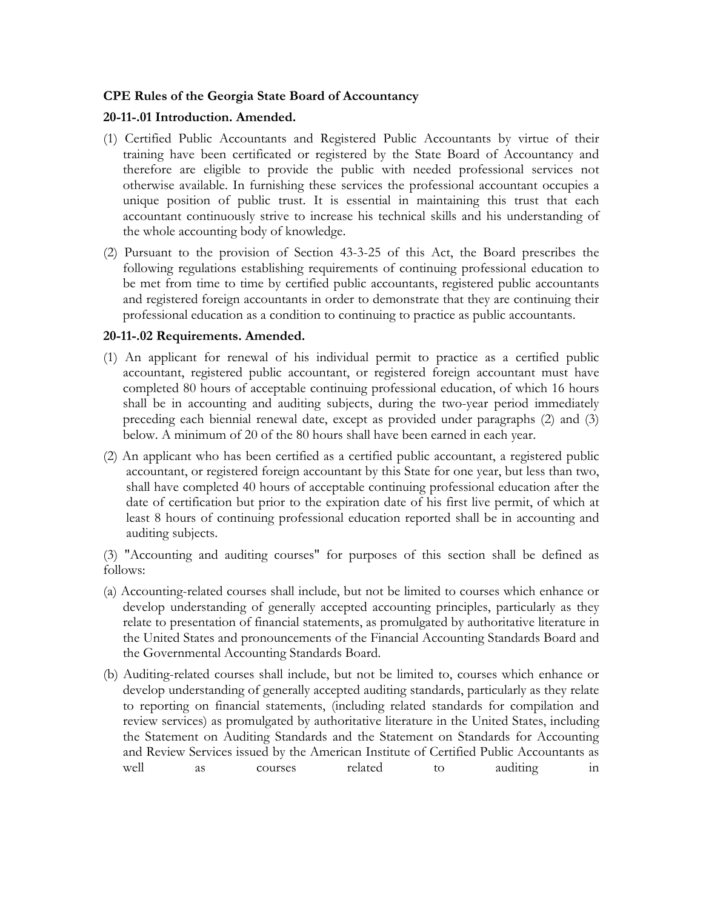## **CPE Rules of the Georgia State Board of Accountancy**

## **20-11-.01 Introduction. Amended.**

- (1) Certified Public Accountants and Registered Public Accountants by virtue of their training have been certificated or registered by the State Board of Accountancy and therefore are eligible to provide the public with needed professional services not otherwise available. In furnishing these services the professional accountant occupies a unique position of public trust. It is essential in maintaining this trust that each accountant continuously strive to increase his technical skills and his understanding of the whole accounting body of knowledge.
- (2) Pursuant to the provision of Section 43-3-25 of this Act, the Board prescribes the following regulations establishing requirements of continuing professional education to be met from time to time by certified public accountants, registered public accountants and registered foreign accountants in order to demonstrate that they are continuing their professional education as a condition to continuing to practice as public accountants.

### **20-11-.02 Requirements. Amended.**

- (1) An applicant for renewal of his individual permit to practice as a certified public accountant, registered public accountant, or registered foreign accountant must have completed 80 hours of acceptable continuing professional education, of which 16 hours shall be in accounting and auditing subjects, during the two-year period immediately preceding each biennial renewal date, except as provided under paragraphs (2) and (3) below. A minimum of 20 of the 80 hours shall have been earned in each year.
- (2) An applicant who has been certified as a certified public accountant, a registered public accountant, or registered foreign accountant by this State for one year, but less than two, shall have completed 40 hours of acceptable continuing professional education after the date of certification but prior to the expiration date of his first live permit, of which at least 8 hours of continuing professional education reported shall be in accounting and auditing subjects.

(3) "Accounting and auditing courses" for purposes of this section shall be defined as follows:

- (a) Accounting-related courses shall include, but not be limited to courses which enhance or develop understanding of generally accepted accounting principles, particularly as they relate to presentation of financial statements, as promulgated by authoritative literature in the United States and pronouncements of the Financial Accounting Standards Board and the Governmental Accounting Standards Board.
- (b) Auditing-related courses shall include, but not be limited to, courses which enhance or develop understanding of generally accepted auditing standards, particularly as they relate to reporting on financial statements, (including related standards for compilation and review services) as promulgated by authoritative literature in the United States, including the Statement on Auditing Standards and the Statement on Standards for Accounting and Review Services issued by the American Institute of Certified Public Accountants as well as courses related to auditing in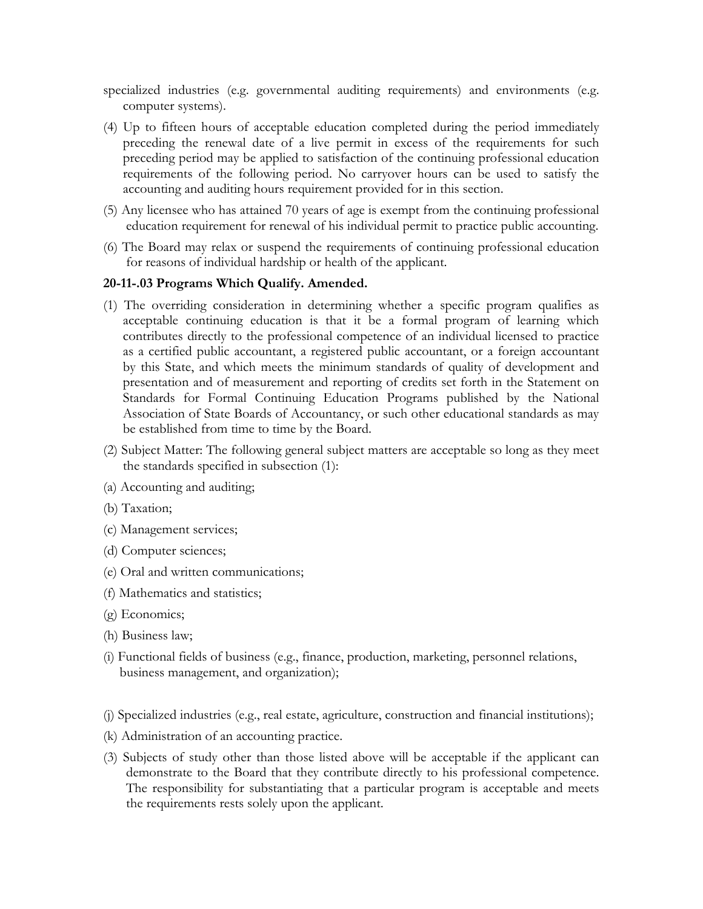specialized industries (e.g. governmental auditing requirements) and environments (e.g. computer systems).

- (4) Up to fifteen hours of acceptable education completed during the period immediately preceding the renewal date of a live permit in excess of the requirements for such preceding period may be applied to satisfaction of the continuing professional education requirements of the following period. No carryover hours can be used to satisfy the accounting and auditing hours requirement provided for in this section.
- (5) Any licensee who has attained 70 years of age is exempt from the continuing professional education requirement for renewal of his individual permit to practice public accounting.
- (6) The Board may relax or suspend the requirements of continuing professional education for reasons of individual hardship or health of the applicant.

# **20-11-.03 Programs Which Qualify. Amended.**

- (1) The overriding consideration in determining whether a specific program qualifies as acceptable continuing education is that it be a formal program of learning which contributes directly to the professional competence of an individual licensed to practice as a certified public accountant, a registered public accountant, or a foreign accountant by this State, and which meets the minimum standards of quality of development and presentation and of measurement and reporting of credits set forth in the Statement on Standards for Formal Continuing Education Programs published by the National Association of State Boards of Accountancy, or such other educational standards as may be established from time to time by the Board.
- (2) Subject Matter: The following general subject matters are acceptable so long as they meet the standards specified in subsection (1):
- (a) Accounting and auditing;
- (b) Taxation;
- (c) Management services;
- (d) Computer sciences;
- (e) Oral and written communications;
- (f) Mathematics and statistics;
- (g) Economics;
- (h) Business law;
- (i) Functional fields of business (e.g., finance, production, marketing, personnel relations, business management, and organization);
- (j) Specialized industries (e.g., real estate, agriculture, construction and financial institutions);
- (k) Administration of an accounting practice.
- (3) Subjects of study other than those listed above will be acceptable if the applicant can demonstrate to the Board that they contribute directly to his professional competence. The responsibility for substantiating that a particular program is acceptable and meets the requirements rests solely upon the applicant.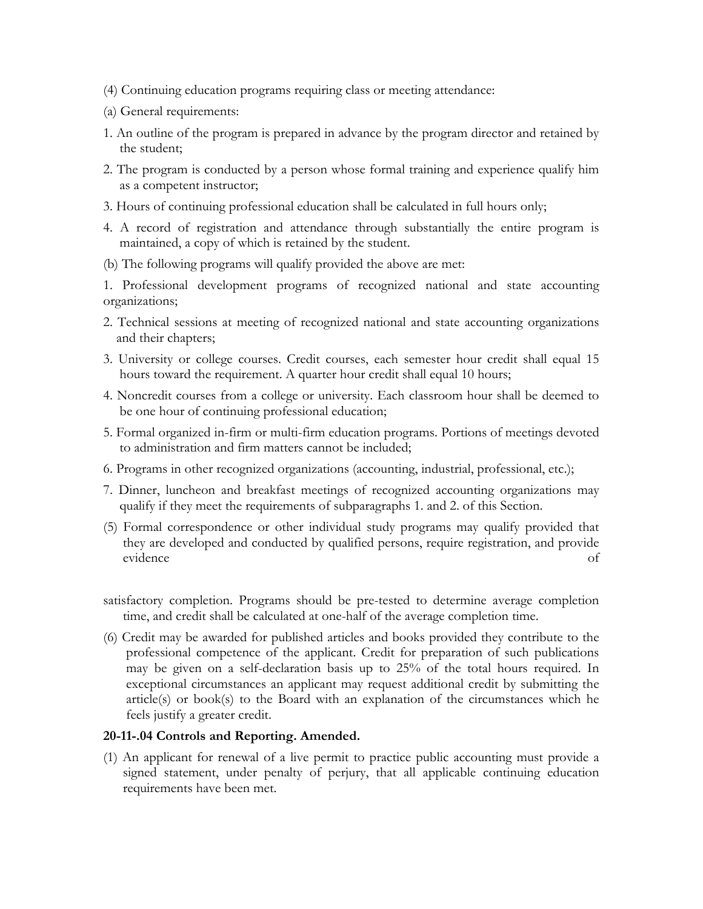- (4) Continuing education programs requiring class or meeting attendance:
- (a) General requirements:
- 1. An outline of the program is prepared in advance by the program director and retained by the student;
- 2. The program is conducted by a person whose formal training and experience qualify him as a competent instructor;
- 3. Hours of continuing professional education shall be calculated in full hours only;
- 4. A record of registration and attendance through substantially the entire program is maintained, a copy of which is retained by the student.
- (b) The following programs will qualify provided the above are met:

1. Professional development programs of recognized national and state accounting organizations;

- 2. Technical sessions at meeting of recognized national and state accounting organizations and their chapters;
- 3. University or college courses. Credit courses, each semester hour credit shall equal 15 hours toward the requirement. A quarter hour credit shall equal 10 hours;
- 4. Noncredit courses from a college or university. Each classroom hour shall be deemed to be one hour of continuing professional education;
- 5. Formal organized in-firm or multi-firm education programs. Portions of meetings devoted to administration and firm matters cannot be included;
- 6. Programs in other recognized organizations (accounting, industrial, professional, etc.);
- 7. Dinner, luncheon and breakfast meetings of recognized accounting organizations may qualify if they meet the requirements of subparagraphs 1. and 2. of this Section.
- (5) Formal correspondence or other individual study programs may qualify provided that they are developed and conducted by qualified persons, require registration, and provide evidence of
- satisfactory completion. Programs should be pre-tested to determine average completion time, and credit shall be calculated at one-half of the average completion time.
- (6) Credit may be awarded for published articles and books provided they contribute to the professional competence of the applicant. Credit for preparation of such publications may be given on a self-declaration basis up to 25% of the total hours required. In exceptional circumstances an applicant may request additional credit by submitting the article(s) or book(s) to the Board with an explanation of the circumstances which he feels justify a greater credit.

### **20-11-.04 Controls and Reporting. Amended.**

(1) An applicant for renewal of a live permit to practice public accounting must provide a signed statement, under penalty of perjury, that all applicable continuing education requirements have been met.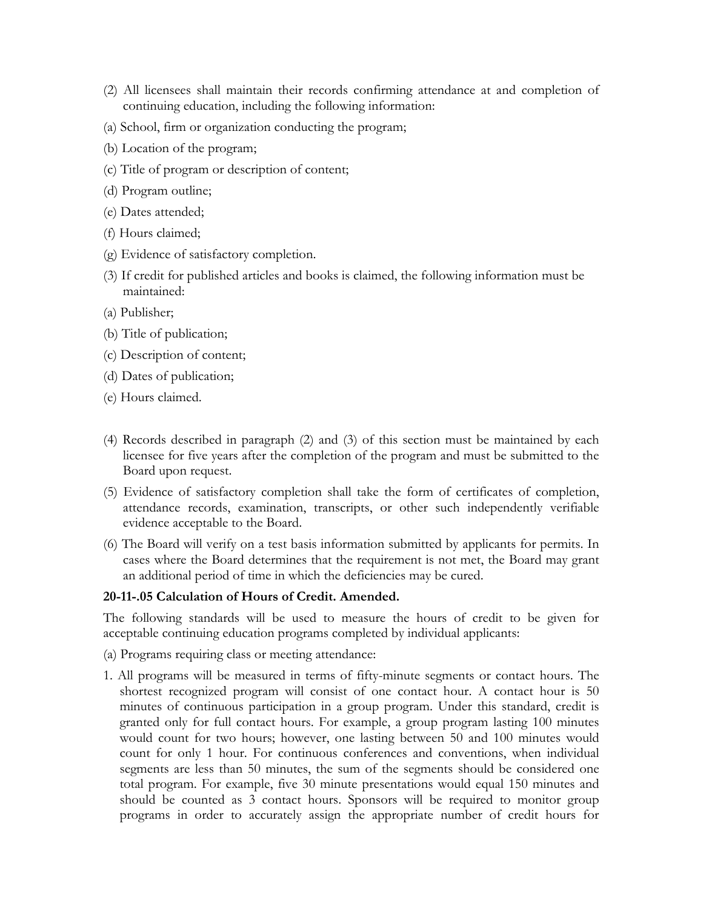- (2) All licensees shall maintain their records confirming attendance at and completion of continuing education, including the following information:
- (a) School, firm or organization conducting the program;
- (b) Location of the program;
- (c) Title of program or description of content;
- (d) Program outline;
- (e) Dates attended;
- (f) Hours claimed;
- (g) Evidence of satisfactory completion.
- (3) If credit for published articles and books is claimed, the following information must be maintained:
- (a) Publisher;
- (b) Title of publication;
- (c) Description of content;
- (d) Dates of publication;
- (e) Hours claimed.
- (4) Records described in paragraph (2) and (3) of this section must be maintained by each licensee for five years after the completion of the program and must be submitted to the Board upon request.
- (5) Evidence of satisfactory completion shall take the form of certificates of completion, attendance records, examination, transcripts, or other such independently verifiable evidence acceptable to the Board.
- (6) The Board will verify on a test basis information submitted by applicants for permits. In cases where the Board determines that the requirement is not met, the Board may grant an additional period of time in which the deficiencies may be cured.

#### **20-11-.05 Calculation of Hours of Credit. Amended.**

The following standards will be used to measure the hours of credit to be given for acceptable continuing education programs completed by individual applicants:

- (a) Programs requiring class or meeting attendance:
- 1. All programs will be measured in terms of fifty-minute segments or contact hours. The shortest recognized program will consist of one contact hour. A contact hour is 50 minutes of continuous participation in a group program. Under this standard, credit is granted only for full contact hours. For example, a group program lasting 100 minutes would count for two hours; however, one lasting between 50 and 100 minutes would count for only 1 hour. For continuous conferences and conventions, when individual segments are less than 50 minutes, the sum of the segments should be considered one total program. For example, five 30 minute presentations would equal 150 minutes and should be counted as 3 contact hours. Sponsors will be required to monitor group programs in order to accurately assign the appropriate number of credit hours for